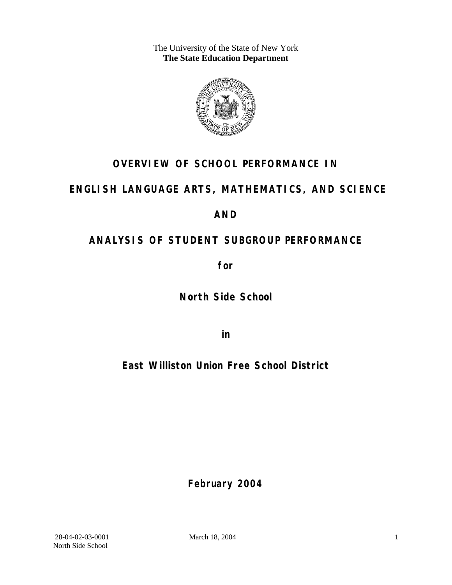The University of the State of New York **The State Education Department** 



## **OVERVIEW OF SCHOOL PERFORMANCE IN**

### **ENGLISH LANGUAGE ARTS, MATHEMATICS, AND SCIENCE**

### **AND**

## **ANALYSIS OF STUDENT SUBGROUP PERFORMANCE**

**for** 

**North Side School**

**in** 

**East Williston Union Free School District**

**February 2004**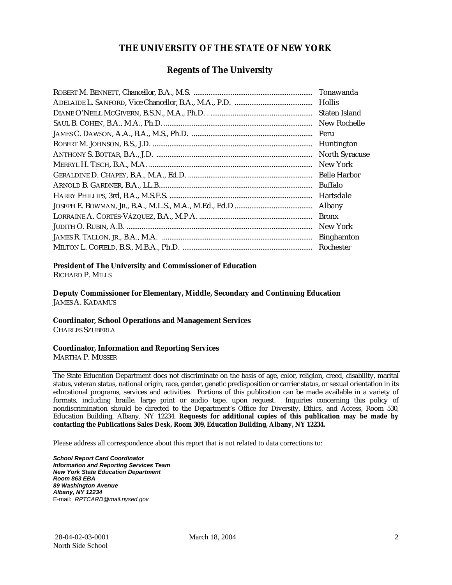#### **THE UNIVERSITY OF THE STATE OF NEW YORK**

#### **Regents of The University**

| Tonawanda             |
|-----------------------|
| <b>Hollis</b>         |
| Staten Island         |
| New Rochelle          |
| Peru                  |
| Huntington            |
| <b>North Syracuse</b> |
| New York              |
| <b>Belle Harbor</b>   |
| <b>Buffalo</b>        |
| Hartsdale             |
| Albany                |
| <b>Bronx</b>          |
| New York              |
| <b>Binghamton</b>     |
| Rochester             |

#### **President of The University and Commissioner of Education**

RICHARD P. MILLS

**Deputy Commissioner for Elementary, Middle, Secondary and Continuing Education**  JAMES A. KADAMUS

#### **Coordinator, School Operations and Management Services**

CHARLES SZUBERLA

#### **Coordinator, Information and Reporting Services**

MARTHA P. MUSSER

The State Education Department does not discriminate on the basis of age, color, religion, creed, disability, marital status, veteran status, national origin, race, gender, genetic predisposition or carrier status, or sexual orientation in its educational programs, services and activities. Portions of this publication can be made available in a variety of formats, including braille, large print or audio tape, upon request. Inquiries concerning this policy of nondiscrimination should be directed to the Department's Office for Diversity, Ethics, and Access, Room 530, Education Building, Albany, NY 12234. **Requests for additional copies of this publication may be made by contacting the Publications Sales Desk, Room 309, Education Building, Albany, NY 12234.** 

Please address all correspondence about this report that is not related to data corrections to:

*School Report Card Coordinator Information and Reporting Services Team New York State Education Department Room 863 EBA 89 Washington Avenue Albany, NY 12234*  E-mail: *RPTCARD@mail.nysed.gov*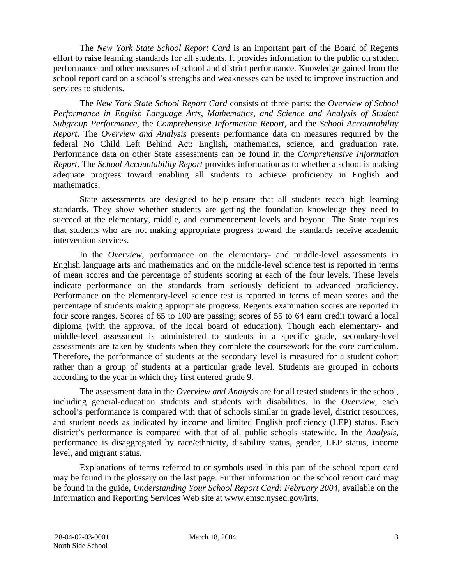The *New York State School Report Card* is an important part of the Board of Regents effort to raise learning standards for all students. It provides information to the public on student performance and other measures of school and district performance. Knowledge gained from the school report card on a school's strengths and weaknesses can be used to improve instruction and services to students.

The *New York State School Report Card* consists of three parts: the *Overview of School Performance in English Language Arts, Mathematics, and Science and Analysis of Student Subgroup Performance,* the *Comprehensive Information Report,* and the *School Accountability Report*. The *Overview and Analysis* presents performance data on measures required by the federal No Child Left Behind Act: English, mathematics, science, and graduation rate. Performance data on other State assessments can be found in the *Comprehensive Information Report*. The *School Accountability Report* provides information as to whether a school is making adequate progress toward enabling all students to achieve proficiency in English and mathematics.

State assessments are designed to help ensure that all students reach high learning standards. They show whether students are getting the foundation knowledge they need to succeed at the elementary, middle, and commencement levels and beyond. The State requires that students who are not making appropriate progress toward the standards receive academic intervention services.

In the *Overview*, performance on the elementary- and middle-level assessments in English language arts and mathematics and on the middle-level science test is reported in terms of mean scores and the percentage of students scoring at each of the four levels. These levels indicate performance on the standards from seriously deficient to advanced proficiency. Performance on the elementary-level science test is reported in terms of mean scores and the percentage of students making appropriate progress. Regents examination scores are reported in four score ranges. Scores of 65 to 100 are passing; scores of 55 to 64 earn credit toward a local diploma (with the approval of the local board of education). Though each elementary- and middle-level assessment is administered to students in a specific grade, secondary-level assessments are taken by students when they complete the coursework for the core curriculum. Therefore, the performance of students at the secondary level is measured for a student cohort rather than a group of students at a particular grade level. Students are grouped in cohorts according to the year in which they first entered grade 9.

The assessment data in the *Overview and Analysis* are for all tested students in the school, including general-education students and students with disabilities. In the *Overview*, each school's performance is compared with that of schools similar in grade level, district resources, and student needs as indicated by income and limited English proficiency (LEP) status. Each district's performance is compared with that of all public schools statewide. In the *Analysis*, performance is disaggregated by race/ethnicity, disability status, gender, LEP status, income level, and migrant status.

Explanations of terms referred to or symbols used in this part of the school report card may be found in the glossary on the last page. Further information on the school report card may be found in the guide, *Understanding Your School Report Card: February 2004*, available on the Information and Reporting Services Web site at www.emsc.nysed.gov/irts.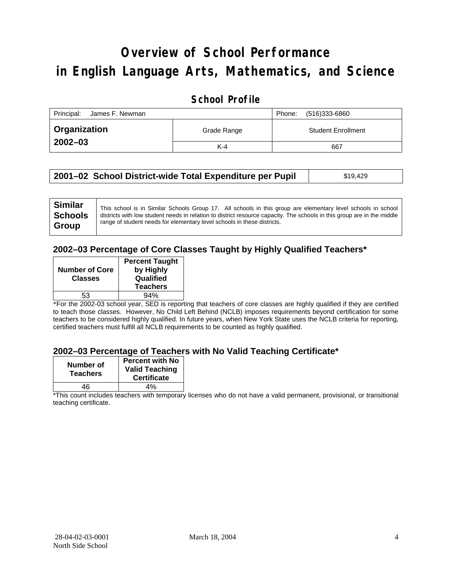# **Overview of School Performance in English Language Arts, Mathematics, and Science**

### **School Profile**

| Principal:<br>James F. Newman |             | (516)333-6860<br>Phone:   |
|-------------------------------|-------------|---------------------------|
| <b>Organization</b>           | Grade Range | <b>Student Enrollment</b> |
| $2002 - 03$                   | $K-4$       | 667                       |

| 2001–02 School District-wide Total Expenditure per Pupil | \$19,429 |
|----------------------------------------------------------|----------|
|                                                          |          |

### **2002–03 Percentage of Core Classes Taught by Highly Qualified Teachers\***

| <b>Number of Core</b><br><b>Classes</b> | <b>Percent Taught</b><br>by Highly<br>Qualified<br><b>Teachers</b> |
|-----------------------------------------|--------------------------------------------------------------------|
| 53                                      | 94%                                                                |
|                                         |                                                                    |

\*For the 2002-03 school year, SED is reporting that teachers of core classes are highly qualified if they are certified to teach those classes. However, No Child Left Behind (NCLB) imposes requirements beyond certification for some teachers to be considered highly qualified. In future years, when New York State uses the NCLB criteria for reporting, certified teachers must fulfill all NCLB requirements to be counted as highly qualified.

#### **2002–03 Percentage of Teachers with No Valid Teaching Certificate\***

| Number of<br><b>Teachers</b> | <b>Percent with No</b><br><b>Valid Teaching</b><br><b>Certificate</b> |
|------------------------------|-----------------------------------------------------------------------|
| 46                           | 4%                                                                    |

\*This count includes teachers with temporary licenses who do not have a valid permanent, provisional, or transitional teaching certificate.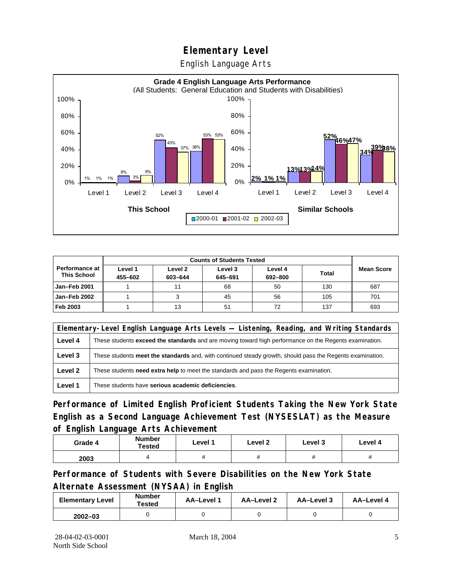English Language Arts



|                                               |                    | <b>Counts of Students Tested</b> |                    |                    |              |                   |
|-----------------------------------------------|--------------------|----------------------------------|--------------------|--------------------|--------------|-------------------|
| <b>Performance at I</b><br><b>This School</b> | Level 1<br>455-602 | Level 2<br>603-644               | Level 3<br>645-691 | Level 4<br>692-800 | <b>Total</b> | <b>Mean Score</b> |
| Jan-Feb 2001                                  |                    |                                  | 68                 | 50                 | 130          | 687               |
| Jan-Feb 2002                                  |                    |                                  | 45                 | 56                 | 105          | 701               |
| Feb 2003                                      |                    | 13                               | 51                 | 72                 | 137          | 693               |

|         | Elementary-Level English Language Arts Levels — Listening, Reading, and Writing Standards                 |  |  |  |  |
|---------|-----------------------------------------------------------------------------------------------------------|--|--|--|--|
| Level 4 | These students exceed the standards and are moving toward high performance on the Regents examination.    |  |  |  |  |
| Level 3 | These students meet the standards and, with continued steady growth, should pass the Regents examination. |  |  |  |  |
| Level 2 | These students <b>need extra help</b> to meet the standards and pass the Regents examination.             |  |  |  |  |
| Level 1 | These students have serious academic deficiencies.                                                        |  |  |  |  |

**Performance of Limited English Proficient Students Taking the New York State English as a Second Language Achievement Test (NYSESLAT) as the Measure of English Language Arts Achievement**

| Grade 4 | <b>Number</b><br>Tested | Level 1 | Level 2  | Level 3  | Level 4  |
|---------|-------------------------|---------|----------|----------|----------|
| 2003    |                         |         | $^{\pi}$ | $^{\pi}$ | $^{\pi}$ |

**Performance of Students with Severe Disabilities on the New York State Alternate Assessment (NYSAA) in English** 

| <b>Elementary Level</b> | <b>Number</b><br>Tested | AA-Level 1 | AA-Level 2 | AA-Level 3 | AA-Level 4 |
|-------------------------|-------------------------|------------|------------|------------|------------|
| $2002 - 03$             |                         |            |            |            |            |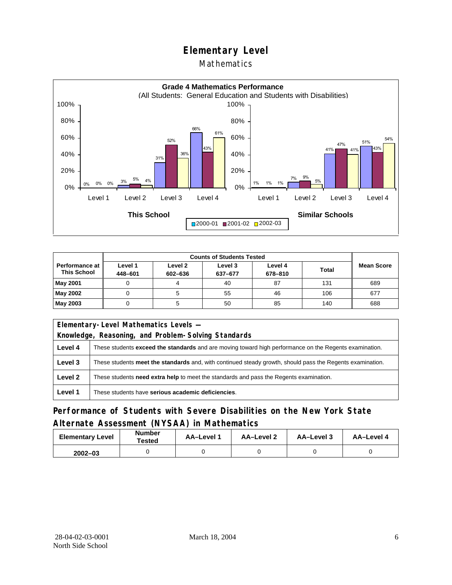### Mathematics



|                                        |                    | <b>Counts of Students Tested</b> |                    |                    |              |                   |
|----------------------------------------|--------------------|----------------------------------|--------------------|--------------------|--------------|-------------------|
| Performance at I<br><b>This School</b> | Level 1<br>448-601 | Level 2<br>602-636               | Level 3<br>637-677 | Level 4<br>678-810 | <b>Total</b> | <b>Mean Score</b> |
| May 2001                               |                    |                                  | 40                 | 87                 | 131          | 689               |
| May 2002                               |                    |                                  | 55                 | 46                 | 106          | 677               |
| May 2003                               |                    |                                  | 50                 | 85                 | 140          | 688               |

|         | Elementary-Level Mathematics Levels -                                                                     |  |  |  |  |
|---------|-----------------------------------------------------------------------------------------------------------|--|--|--|--|
|         | Knowledge, Reasoning, and Problem-Solving Standards                                                       |  |  |  |  |
| Level 4 | These students exceed the standards and are moving toward high performance on the Regents examination.    |  |  |  |  |
| Level 3 | These students meet the standards and, with continued steady growth, should pass the Regents examination. |  |  |  |  |
| Level 2 | These students need extra help to meet the standards and pass the Regents examination.                    |  |  |  |  |
| Level 1 | These students have serious academic deficiencies.                                                        |  |  |  |  |

### **Performance of Students with Severe Disabilities on the New York State Alternate Assessment (NYSAA) in Mathematics**

| <b>Elementary Level</b> | <b>Number</b><br>Tested | <b>AA-Level 1</b> | AA-Level 2 | AA-Level 3 | AA-Level 4 |  |
|-------------------------|-------------------------|-------------------|------------|------------|------------|--|
| $2002 - 03$             |                         |                   |            |            |            |  |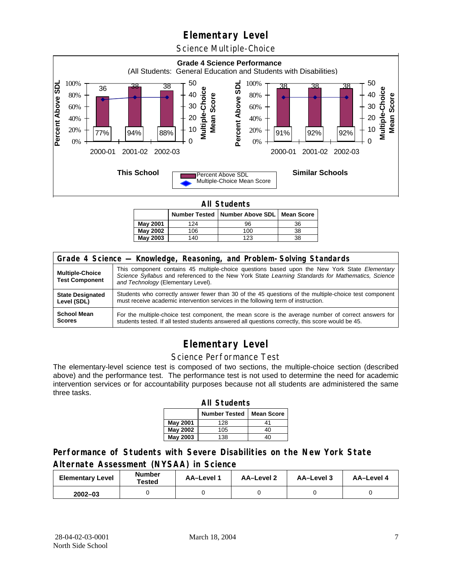Science Multiple-Choice



**All Students** 

|                 |     | Number Tested   Number Above SDL   Mean Score |    |
|-----------------|-----|-----------------------------------------------|----|
| May 2001        | 124 | 96                                            | 36 |
| May 2002        | 106 | 100                                           | 38 |
| <b>May 2003</b> | 140 | 123                                           | 38 |

| Grade 4 Science - Knowledge, Reasoning, and Problem-Solving Standards |                                                                                                                                                                                                                                          |  |  |  |  |  |
|-----------------------------------------------------------------------|------------------------------------------------------------------------------------------------------------------------------------------------------------------------------------------------------------------------------------------|--|--|--|--|--|
| <b>Multiple-Choice</b><br><b>Test Component</b>                       | This component contains 45 multiple-choice questions based upon the New York State Elementary<br>Science Syllabus and referenced to the New York State Learning Standards for Mathematics, Science<br>and Technology (Elementary Level). |  |  |  |  |  |
| <b>State Designated</b>                                               | Students who correctly answer fewer than 30 of the 45 questions of the multiple-choice test component                                                                                                                                    |  |  |  |  |  |
| Level (SDL)                                                           | must receive academic intervention services in the following term of instruction.                                                                                                                                                        |  |  |  |  |  |
| <b>School Mean</b>                                                    | For the multiple-choice test component, the mean score is the average number of correct answers for                                                                                                                                      |  |  |  |  |  |
| <b>Scores</b>                                                         | students tested. If all tested students answered all questions correctly, this score would be 45.                                                                                                                                        |  |  |  |  |  |

## **Elementary Level**

#### Science Performance Test

The elementary-level science test is composed of two sections, the multiple-choice section (described above) and the performance test. The performance test is not used to determine the need for academic intervention services or for accountability purposes because not all students are administered the same three tasks.

| <b>All Students</b>                       |     |    |  |  |  |  |  |  |
|-------------------------------------------|-----|----|--|--|--|--|--|--|
| <b>Number Tested</b><br><b>Mean Score</b> |     |    |  |  |  |  |  |  |
| May 2001                                  | 128 | 41 |  |  |  |  |  |  |
| May 2002                                  | 40  |    |  |  |  |  |  |  |
| <b>May 2003</b><br>138<br>40              |     |    |  |  |  |  |  |  |

### **Performance of Students with Severe Disabilities on the New York State Alternate Assessment (NYSAA) in Science**

| <b>Elementary Level</b> | <b>Number</b><br>Tested | AA-Level 1 | <b>AA-Level 2</b> | AA-Level 3 | AA-Level 4 |  |
|-------------------------|-------------------------|------------|-------------------|------------|------------|--|
| $2002 - 03$             |                         |            |                   |            |            |  |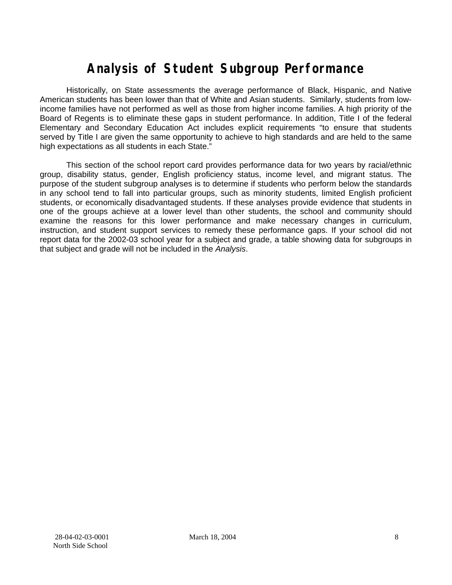# **Analysis of Student Subgroup Performance**

Historically, on State assessments the average performance of Black, Hispanic, and Native American students has been lower than that of White and Asian students. Similarly, students from lowincome families have not performed as well as those from higher income families. A high priority of the Board of Regents is to eliminate these gaps in student performance. In addition, Title I of the federal Elementary and Secondary Education Act includes explicit requirements "to ensure that students served by Title I are given the same opportunity to achieve to high standards and are held to the same high expectations as all students in each State."

This section of the school report card provides performance data for two years by racial/ethnic group, disability status, gender, English proficiency status, income level, and migrant status. The purpose of the student subgroup analyses is to determine if students who perform below the standards in any school tend to fall into particular groups, such as minority students, limited English proficient students, or economically disadvantaged students. If these analyses provide evidence that students in one of the groups achieve at a lower level than other students, the school and community should examine the reasons for this lower performance and make necessary changes in curriculum, instruction, and student support services to remedy these performance gaps. If your school did not report data for the 2002-03 school year for a subject and grade, a table showing data for subgroups in that subject and grade will not be included in the *Analysis*.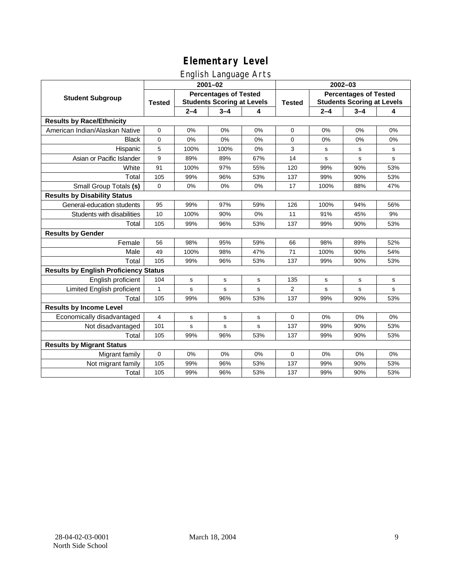### English Language Arts

|                                              | ◡<br>$2001 - 02$                                                                   |             |             |               | $2002 - 03$                                                       |         |             |             |
|----------------------------------------------|------------------------------------------------------------------------------------|-------------|-------------|---------------|-------------------------------------------------------------------|---------|-------------|-------------|
| <b>Student Subgroup</b>                      | <b>Percentages of Tested</b><br><b>Students Scoring at Levels</b><br><b>Tested</b> |             |             | <b>Tested</b> | <b>Percentages of Tested</b><br><b>Students Scoring at Levels</b> |         |             |             |
|                                              |                                                                                    | $2 - 4$     | $3 - 4$     | 4             |                                                                   | $2 - 4$ | $3 - 4$     | 4           |
| <b>Results by Race/Ethnicity</b>             |                                                                                    |             |             |               |                                                                   |         |             |             |
| American Indian/Alaskan Native               | 0                                                                                  | 0%          | 0%          | 0%            | $\mathbf 0$                                                       | 0%      | 0%          | 0%          |
| <b>Black</b>                                 | 0                                                                                  | 0%          | 0%          | 0%            | 0                                                                 | 0%      | 0%          | 0%          |
| Hispanic                                     | 5                                                                                  | 100%        | 100%        | 0%            | 3                                                                 | s       | s           | s           |
| Asian or Pacific Islander                    | 9                                                                                  | 89%         | 89%         | 67%           | 14                                                                | s       | s           | $\mathbf s$ |
| White                                        | 91                                                                                 | 100%        | 97%         | 55%           | 120                                                               | 99%     | 90%         | 53%         |
| Total                                        | 105                                                                                | 99%         | 96%         | 53%           | 137                                                               | 99%     | 90%         | 53%         |
| Small Group Totals (s)                       | $\mathbf 0$                                                                        | 0%          | 0%          | 0%            | 17                                                                | 100%    | 88%         | 47%         |
| <b>Results by Disability Status</b>          |                                                                                    |             |             |               |                                                                   |         |             |             |
| General-education students                   | 95                                                                                 | 99%         | 97%         | 59%           | 126                                                               | 100%    | 94%         | 56%         |
| Students with disabilities                   | 10                                                                                 | 100%        | 90%         | 0%            | 11                                                                | 91%     | 45%         | 9%          |
| Total                                        | 105                                                                                | 99%         | 96%         | 53%           | 137                                                               | 99%     | 90%         | 53%         |
| <b>Results by Gender</b>                     |                                                                                    |             |             |               |                                                                   |         |             |             |
| Female                                       | 56                                                                                 | 98%         | 95%         | 59%           | 66                                                                | 98%     | 89%         | 52%         |
| Male                                         | 49                                                                                 | 100%        | 98%         | 47%           | 71                                                                | 100%    | 90%         | 54%         |
| Total                                        | 105                                                                                | 99%         | 96%         | 53%           | 137                                                               | 99%     | 90%         | 53%         |
| <b>Results by English Proficiency Status</b> |                                                                                    |             |             |               |                                                                   |         |             |             |
| English proficient                           | 104                                                                                | $\mathbf s$ | $\mathbf s$ | s             | 135                                                               | s       | $\mathbf s$ | ${\tt s}$   |
| Limited English proficient                   | 1                                                                                  | s           | $\mathbf s$ | s             | $\overline{2}$                                                    | s       | $\mathbf s$ | ${\tt s}$   |
| Total                                        | 105                                                                                | 99%         | 96%         | 53%           | 137                                                               | 99%     | 90%         | 53%         |
| <b>Results by Income Level</b>               |                                                                                    |             |             |               |                                                                   |         |             |             |
| Economically disadvantaged                   | 4                                                                                  | s           | s           | s             | $\Omega$                                                          | 0%      | 0%          | 0%          |
| Not disadvantaged                            | 101                                                                                | s           | $\mathbf s$ | s             | 137                                                               | 99%     | 90%         | 53%         |
| Total                                        | 105                                                                                | 99%         | 96%         | 53%           | 137                                                               | 99%     | 90%         | 53%         |
| <b>Results by Migrant Status</b>             |                                                                                    |             |             |               |                                                                   |         |             |             |
| Migrant family                               | $\mathbf 0$                                                                        | 0%          | 0%          | 0%            | $\mathbf 0$                                                       | 0%      | 0%          | 0%          |
| Not migrant family                           | 105                                                                                | 99%         | 96%         | 53%           | 137                                                               | 99%     | 90%         | 53%         |
| Total                                        | 105                                                                                | 99%         | 96%         | 53%           | 137                                                               | 99%     | 90%         | 53%         |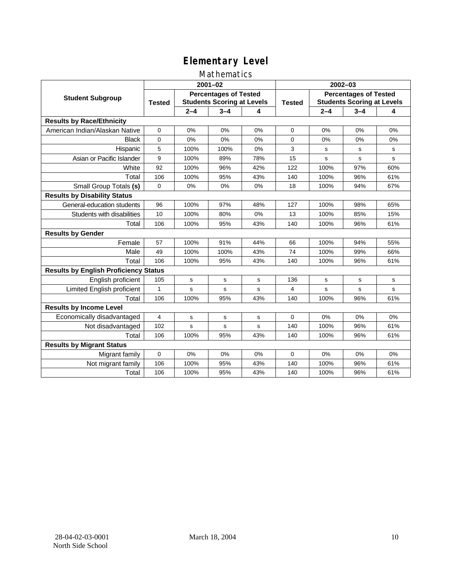### Mathematics

|                                              | $2001 - 02$                                                                        |         |         |               | $2002 - 03$                                                       |             |         |     |
|----------------------------------------------|------------------------------------------------------------------------------------|---------|---------|---------------|-------------------------------------------------------------------|-------------|---------|-----|
| <b>Student Subgroup</b>                      | <b>Percentages of Tested</b><br><b>Students Scoring at Levels</b><br><b>Tested</b> |         |         | <b>Tested</b> | <b>Percentages of Tested</b><br><b>Students Scoring at Levels</b> |             |         |     |
|                                              |                                                                                    | $2 - 4$ | $3 - 4$ | 4             |                                                                   | $2 - 4$     | $3 - 4$ | 4   |
| <b>Results by Race/Ethnicity</b>             |                                                                                    |         |         |               |                                                                   |             |         |     |
| American Indian/Alaskan Native               | $\mathbf 0$                                                                        | 0%      | 0%      | 0%            | $\mathbf 0$                                                       | 0%          | 0%      | 0%  |
| <b>Black</b>                                 | 0                                                                                  | 0%      | 0%      | 0%            | $\Omega$                                                          | 0%          | 0%      | 0%  |
| Hispanic                                     | 5                                                                                  | 100%    | 100%    | 0%            | 3                                                                 | s           | s       | s   |
| Asian or Pacific Islander                    | 9                                                                                  | 100%    | 89%     | 78%           | 15                                                                | $\mathbf s$ | s       | s   |
| White                                        | 92                                                                                 | 100%    | 96%     | 42%           | 122                                                               | 100%        | 97%     | 60% |
| Total                                        | 106                                                                                | 100%    | 95%     | 43%           | 140                                                               | 100%        | 96%     | 61% |
| Small Group Totals (s)                       | 0                                                                                  | 0%      | 0%      | 0%            | 18                                                                | 100%        | 94%     | 67% |
| <b>Results by Disability Status</b>          |                                                                                    |         |         |               |                                                                   |             |         |     |
| General-education students                   | 96                                                                                 | 100%    | 97%     | 48%           | 127                                                               | 100%        | 98%     | 65% |
| Students with disabilities                   | 10                                                                                 | 100%    | 80%     | 0%            | 13                                                                | 100%        | 85%     | 15% |
| Total                                        | 106                                                                                | 100%    | 95%     | 43%           | 140                                                               | 100%        | 96%     | 61% |
| <b>Results by Gender</b>                     |                                                                                    |         |         |               |                                                                   |             |         |     |
| Female                                       | 57                                                                                 | 100%    | 91%     | 44%           | 66                                                                | 100%        | 94%     | 55% |
| Male                                         | 49                                                                                 | 100%    | 100%    | 43%           | 74                                                                | 100%        | 99%     | 66% |
| Total                                        | 106                                                                                | 100%    | 95%     | 43%           | 140                                                               | 100%        | 96%     | 61% |
| <b>Results by English Proficiency Status</b> |                                                                                    |         |         |               |                                                                   |             |         |     |
| English proficient                           | 105                                                                                | s       | s       | s             | 136                                                               | s           | s       | s   |
| Limited English proficient                   | 1                                                                                  | s       | s       | s             | 4                                                                 | s           | s       | s   |
| Total                                        | 106                                                                                | 100%    | 95%     | 43%           | 140                                                               | 100%        | 96%     | 61% |
| <b>Results by Income Level</b>               |                                                                                    |         |         |               |                                                                   |             |         |     |
| Economically disadvantaged                   | 4                                                                                  | s       | s       | s             | $\Omega$                                                          | 0%          | 0%      | 0%  |
| Not disadvantaged                            | 102                                                                                | s       | s       | s             | 140                                                               | 100%        | 96%     | 61% |
| Total                                        | 106                                                                                | 100%    | 95%     | 43%           | 140                                                               | 100%        | 96%     | 61% |
| <b>Results by Migrant Status</b>             |                                                                                    |         |         |               |                                                                   |             |         |     |
| Migrant family                               | 0                                                                                  | 0%      | 0%      | 0%            | $\mathbf 0$                                                       | 0%          | 0%      | 0%  |
| Not migrant family                           | 106                                                                                | 100%    | 95%     | 43%           | 140                                                               | 100%        | 96%     | 61% |
| Total                                        | 106                                                                                | 100%    | 95%     | 43%           | 140                                                               | 100%        | 96%     | 61% |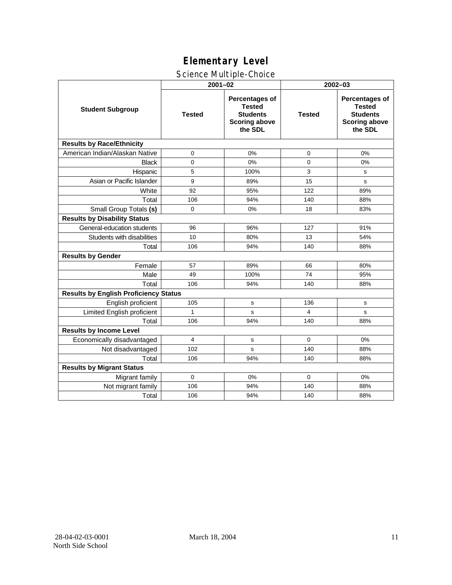## Science Multiple-Choice

|                                              | $2001 - 02$   |                                                                                       | 2002-03       |                                                                                              |  |  |  |
|----------------------------------------------|---------------|---------------------------------------------------------------------------------------|---------------|----------------------------------------------------------------------------------------------|--|--|--|
| <b>Student Subgroup</b>                      | <b>Tested</b> | Percentages of<br><b>Tested</b><br><b>Students</b><br><b>Scoring above</b><br>the SDL | <b>Tested</b> | <b>Percentages of</b><br><b>Tested</b><br><b>Students</b><br><b>Scoring above</b><br>the SDL |  |  |  |
| <b>Results by Race/Ethnicity</b>             |               |                                                                                       |               |                                                                                              |  |  |  |
| American Indian/Alaskan Native               | 0             | 0%                                                                                    | 0             | 0%                                                                                           |  |  |  |
| <b>Black</b>                                 | $\Omega$      | 0%                                                                                    | $\Omega$      | 0%                                                                                           |  |  |  |
| Hispanic                                     | 5             | 100%                                                                                  | 3             | s                                                                                            |  |  |  |
| Asian or Pacific Islander                    | 9             | 89%                                                                                   | 15            | s                                                                                            |  |  |  |
| White                                        | 92            | 95%                                                                                   | 122           | 89%                                                                                          |  |  |  |
| Total                                        | 106           | 94%                                                                                   | 140           | 88%                                                                                          |  |  |  |
| Small Group Totals (s)                       | $\mathbf 0$   | 0%                                                                                    | 18            | 83%                                                                                          |  |  |  |
| <b>Results by Disability Status</b>          |               |                                                                                       |               |                                                                                              |  |  |  |
| General-education students                   | 96            | 96%                                                                                   | 127           | 91%                                                                                          |  |  |  |
| Students with disabilities                   | 10            | 80%                                                                                   | 13            | 54%                                                                                          |  |  |  |
| Total                                        | 106           | 94%                                                                                   | 140           | 88%                                                                                          |  |  |  |
| <b>Results by Gender</b>                     |               |                                                                                       |               |                                                                                              |  |  |  |
| Female                                       | 57            | 89%                                                                                   | 66            | 80%                                                                                          |  |  |  |
| Male                                         | 49            | 100%                                                                                  | 74            | 95%                                                                                          |  |  |  |
| Total                                        | 106           | 94%                                                                                   | 140           | 88%                                                                                          |  |  |  |
| <b>Results by English Proficiency Status</b> |               |                                                                                       |               |                                                                                              |  |  |  |
| English proficient                           | 105           | s                                                                                     | 136           | s                                                                                            |  |  |  |
| Limited English proficient                   | $\mathbf{1}$  | s                                                                                     | 4             | s                                                                                            |  |  |  |
| Total                                        | 106           | 94%                                                                                   | 140           | 88%                                                                                          |  |  |  |
| <b>Results by Income Level</b>               |               |                                                                                       |               |                                                                                              |  |  |  |
| Economically disadvantaged                   | 4             | s                                                                                     | $\Omega$      | 0%                                                                                           |  |  |  |
| Not disadvantaged                            | 102           | s                                                                                     | 140           | 88%                                                                                          |  |  |  |
| Total                                        | 106           | 94%                                                                                   | 140           | 88%                                                                                          |  |  |  |
| <b>Results by Migrant Status</b>             |               |                                                                                       |               |                                                                                              |  |  |  |
| Migrant family                               | $\mathbf 0$   | 0%                                                                                    | $\Omega$      | 0%                                                                                           |  |  |  |
| Not migrant family                           | 106           | 94%                                                                                   | 140           | 88%                                                                                          |  |  |  |
| Total                                        | 106           | 94%                                                                                   | 140           | 88%                                                                                          |  |  |  |